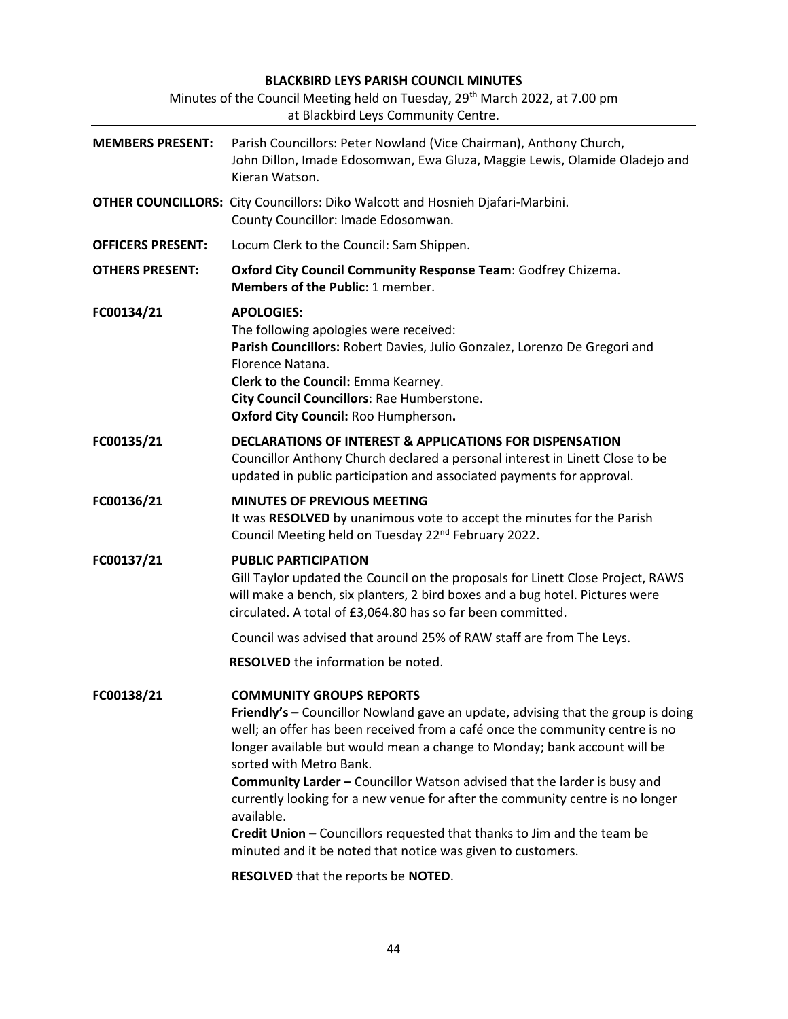# BLACKBIRD LEYS PARISH COUNCIL MINUTES Minutes of the Council Meeting held on Tuesday, 29<sup>th</sup> March 2022, at 7.00 pm

| at Blackbird Leys Community Centre. |                                                                                                                                                                                                                                                                                                                                                                                                                                                                                                                                                                                                                                 |  |  |  |  |  |  |
|-------------------------------------|---------------------------------------------------------------------------------------------------------------------------------------------------------------------------------------------------------------------------------------------------------------------------------------------------------------------------------------------------------------------------------------------------------------------------------------------------------------------------------------------------------------------------------------------------------------------------------------------------------------------------------|--|--|--|--|--|--|
| <b>MEMBERS PRESENT:</b>             | Parish Councillors: Peter Nowland (Vice Chairman), Anthony Church,<br>John Dillon, Imade Edosomwan, Ewa Gluza, Maggie Lewis, Olamide Oladejo and<br>Kieran Watson.                                                                                                                                                                                                                                                                                                                                                                                                                                                              |  |  |  |  |  |  |
|                                     | <b>OTHER COUNCILLORS:</b> City Councillors: Diko Walcott and Hosnieh Djafari-Marbini.<br>County Councillor: Imade Edosomwan.                                                                                                                                                                                                                                                                                                                                                                                                                                                                                                    |  |  |  |  |  |  |
| <b>OFFICERS PRESENT:</b>            | Locum Clerk to the Council: Sam Shippen.                                                                                                                                                                                                                                                                                                                                                                                                                                                                                                                                                                                        |  |  |  |  |  |  |
| <b>OTHERS PRESENT:</b>              | Oxford City Council Community Response Team: Godfrey Chizema.<br>Members of the Public: 1 member.                                                                                                                                                                                                                                                                                                                                                                                                                                                                                                                               |  |  |  |  |  |  |
| FC00134/21                          | <b>APOLOGIES:</b><br>The following apologies were received:<br>Parish Councillors: Robert Davies, Julio Gonzalez, Lorenzo De Gregori and<br>Florence Natana.<br>Clerk to the Council: Emma Kearney.<br>City Council Councillors: Rae Humberstone.<br>Oxford City Council: Roo Humpherson.                                                                                                                                                                                                                                                                                                                                       |  |  |  |  |  |  |
| FC00135/21                          | <b>DECLARATIONS OF INTEREST &amp; APPLICATIONS FOR DISPENSATION</b><br>Councillor Anthony Church declared a personal interest in Linett Close to be<br>updated in public participation and associated payments for approval.                                                                                                                                                                                                                                                                                                                                                                                                    |  |  |  |  |  |  |
| FC00136/21                          | <b>MINUTES OF PREVIOUS MEETING</b><br>It was RESOLVED by unanimous vote to accept the minutes for the Parish<br>Council Meeting held on Tuesday 22 <sup>nd</sup> February 2022.                                                                                                                                                                                                                                                                                                                                                                                                                                                 |  |  |  |  |  |  |
| FC00137/21                          | <b>PUBLIC PARTICIPATION</b><br>Gill Taylor updated the Council on the proposals for Linett Close Project, RAWS<br>will make a bench, six planters, 2 bird boxes and a bug hotel. Pictures were<br>circulated. A total of £3,064.80 has so far been committed.                                                                                                                                                                                                                                                                                                                                                                   |  |  |  |  |  |  |
|                                     | Council was advised that around 25% of RAW staff are from The Leys.                                                                                                                                                                                                                                                                                                                                                                                                                                                                                                                                                             |  |  |  |  |  |  |
|                                     | <b>RESOLVED</b> the information be noted.                                                                                                                                                                                                                                                                                                                                                                                                                                                                                                                                                                                       |  |  |  |  |  |  |
| FC00138/21                          | <b>COMMUNITY GROUPS REPORTS</b><br>Friendly's - Councillor Nowland gave an update, advising that the group is doing<br>well; an offer has been received from a café once the community centre is no<br>longer available but would mean a change to Monday; bank account will be<br>sorted with Metro Bank.<br>Community Larder - Councillor Watson advised that the larder is busy and<br>currently looking for a new venue for after the community centre is no longer<br>available.<br>Credit Union - Councillors requested that thanks to Jim and the team be<br>minuted and it be noted that notice was given to customers. |  |  |  |  |  |  |
|                                     | RESOLVED that the reports be NOTED.                                                                                                                                                                                                                                                                                                                                                                                                                                                                                                                                                                                             |  |  |  |  |  |  |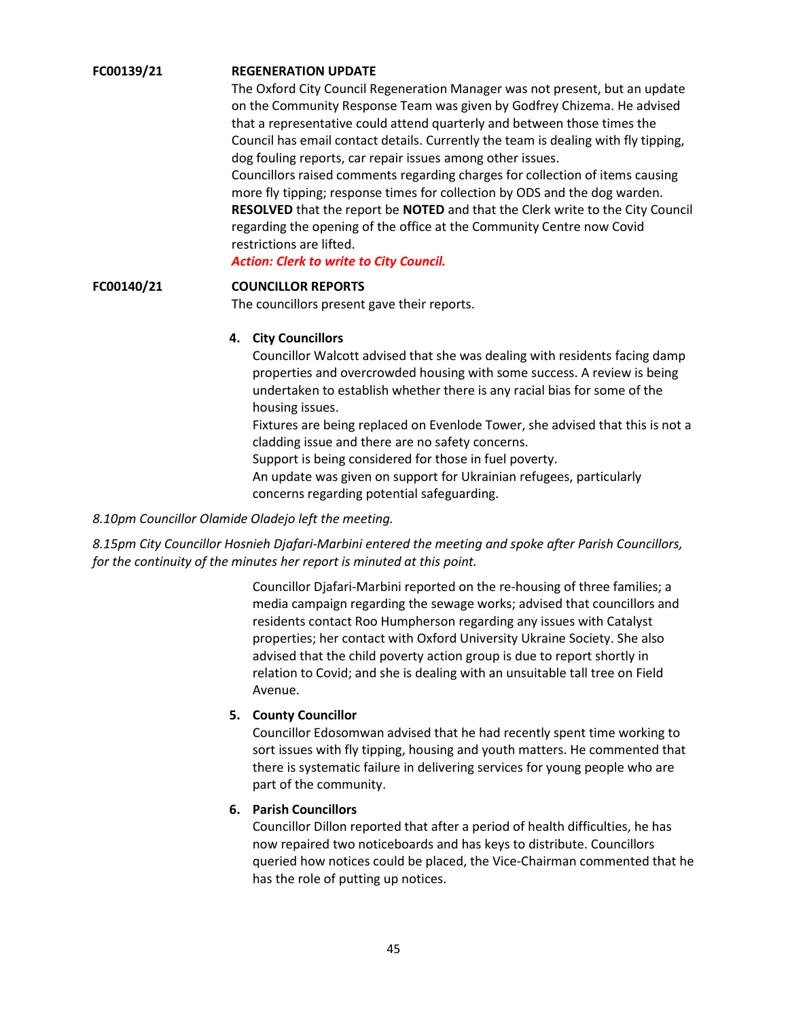### FC00139/21 REGENERATION UPDATE

The Oxford City Council Regeneration Manager was not present, but an update on the Community Response Team was given by Godfrey Chizema. He advised that a representative could attend quarterly and between those times the Council has email contact details. Currently the team is dealing with fly tipping, dog fouling reports, car repair issues among other issues. Councillors raised comments regarding charges for collection of items causing more fly tipping; response times for collection by ODS and the dog warden. RESOLVED that the report be NOTED and that the Clerk write to the City Council regarding the opening of the office at the Community Centre now Covid restrictions are lifted.

Action: Clerk to write to City Council.

#### FC00140/21 COUNCILLOR REPORTS

The councillors present gave their reports.

### 4. City Councillors

Councillor Walcott advised that she was dealing with residents facing damp properties and overcrowded housing with some success. A review is being undertaken to establish whether there is any racial bias for some of the housing issues.

Fixtures are being replaced on Evenlode Tower, she advised that this is not a cladding issue and there are no safety concerns.

Support is being considered for those in fuel poverty.

An update was given on support for Ukrainian refugees, particularly concerns regarding potential safeguarding.

#### 8.10pm Councillor Olamide Oladejo left the meeting.

8.15pm City Councillor Hosnieh Djafari-Marbini entered the meeting and spoke after Parish Councillors, for the continuity of the minutes her report is minuted at this point.

> Councillor Djafari-Marbini reported on the re-housing of three families; a media campaign regarding the sewage works; advised that councillors and residents contact Roo Humpherson regarding any issues with Catalyst properties; her contact with Oxford University Ukraine Society. She also advised that the child poverty action group is due to report shortly in relation to Covid; and she is dealing with an unsuitable tall tree on Field Avenue.

### 5. County Councillor

Councillor Edosomwan advised that he had recently spent time working to sort issues with fly tipping, housing and youth matters. He commented that there is systematic failure in delivering services for young people who are part of the community.

### 6. Parish Councillors

Councillor Dillon reported that after a period of health difficulties, he has now repaired two noticeboards and has keys to distribute. Councillors queried how notices could be placed, the Vice-Chairman commented that he has the role of putting up notices.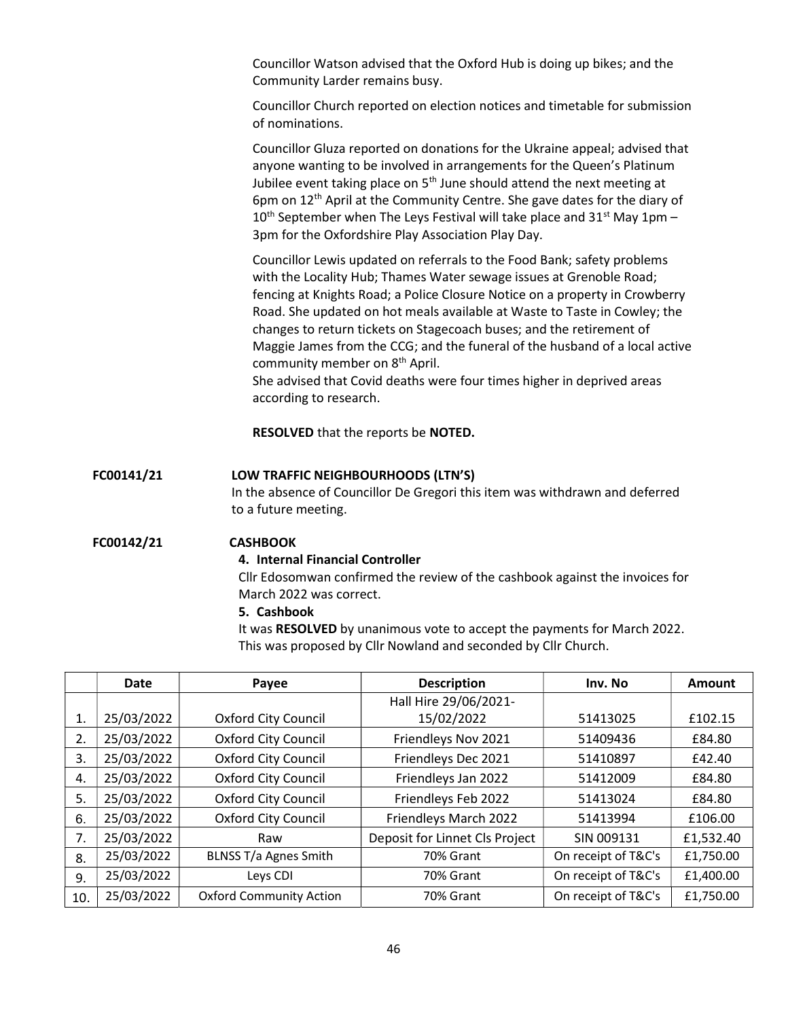Councillor Watson advised that the Oxford Hub is doing up bikes; and the Community Larder remains busy.

Councillor Church reported on election notices and timetable for submission of nominations.

Councillor Gluza reported on donations for the Ukraine appeal; advised that anyone wanting to be involved in arrangements for the Queen's Platinum Jubilee event taking place on  $5<sup>th</sup>$  June should attend the next meeting at 6pm on 12th April at the Community Centre. She gave dates for the diary of  $10<sup>th</sup>$  September when The Leys Festival will take place and 31<sup>st</sup> May 1pm – 3pm for the Oxfordshire Play Association Play Day.

Councillor Lewis updated on referrals to the Food Bank; safety problems with the Locality Hub; Thames Water sewage issues at Grenoble Road; fencing at Knights Road; a Police Closure Notice on a property in Crowberry Road. She updated on hot meals available at Waste to Taste in Cowley; the changes to return tickets on Stagecoach buses; and the retirement of Maggie James from the CCG; and the funeral of the husband of a local active community member on 8<sup>th</sup> April.

She advised that Covid deaths were four times higher in deprived areas according to research.

RESOLVED that the reports be NOTED.

### FC00141/21 LOW TRAFFIC NEIGHBOURHOODS (LTN'S)

In the absence of Councillor De Gregori this item was withdrawn and deferred to a future meeting.

#### FC00142/21 CASHBOOK

### 4. Internal Financial Controller

Cllr Edosomwan confirmed the review of the cashbook against the invoices for March 2022 was correct.

### 5. Cashbook

It was RESOLVED by unanimous vote to accept the payments for March 2022. This was proposed by Cllr Nowland and seconded by Cllr Church.

|     | Date       | Payee                          | <b>Description</b>             | Inv. No             | Amount    |
|-----|------------|--------------------------------|--------------------------------|---------------------|-----------|
|     |            |                                | Hall Hire 29/06/2021-          |                     |           |
| 1.  | 25/03/2022 | <b>Oxford City Council</b>     | 15/02/2022                     | 51413025            | £102.15   |
| 2.  | 25/03/2022 | <b>Oxford City Council</b>     | Friendleys Nov 2021            | 51409436            | £84.80    |
| 3.  | 25/03/2022 | <b>Oxford City Council</b>     | Friendleys Dec 2021            | 51410897            | £42.40    |
| 4.  | 25/03/2022 | <b>Oxford City Council</b>     | Friendleys Jan 2022            | 51412009            | £84.80    |
| 5.  | 25/03/2022 | <b>Oxford City Council</b>     | Friendleys Feb 2022            | 51413024            | £84.80    |
| 6.  | 25/03/2022 | <b>Oxford City Council</b>     | Friendleys March 2022          | 51413994            | £106.00   |
| 7.  | 25/03/2022 | Raw                            | Deposit for Linnet Cls Project | SIN 009131          | £1,532.40 |
| 8.  | 25/03/2022 | <b>BLNSS T/a Agnes Smith</b>   | 70% Grant                      | On receipt of T&C's | £1,750.00 |
| 9.  | 25/03/2022 | Leys CDI                       | 70% Grant                      | On receipt of T&C's | £1,400.00 |
| 10. | 25/03/2022 | <b>Oxford Community Action</b> | 70% Grant                      | On receipt of T&C's | £1,750.00 |